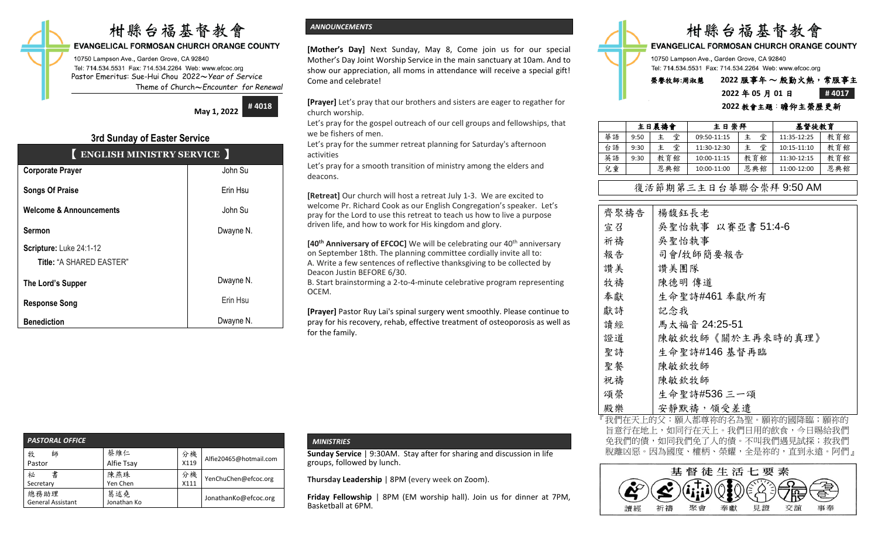# 柑縣台福基督教會

## **EVANGELICAL FORMOSAN CHURCH ORANGE COUNTY**

10750 Lampson Ave., Garden Grove, CA 92840 Tel: 714.534.5531 Fax: 714.534.2264 Web: www.efcoc.org Pastor Emeritus: Sue-Hui Chou 2022〜*Year of Service* Theme of Church〜*Encounter for Renewal*

> **May 1, 2022 # 4018**

## **3rd Sunday of Easter Service**

| ENGLISH MINISTRY SERVICE           |           |
|------------------------------------|-----------|
| <b>Corporate Prayer</b>            | John Su   |
| <b>Songs Of Praise</b>             | Erin Hsu  |
| <b>Welcome &amp; Announcements</b> | John Su   |
| <b>Sermon</b>                      | Dwayne N. |
| Scripture: Luke 24:1-12            |           |
| Title: "A SHARED EASTER"           |           |
| The Lord's Supper                  | Dwayne N. |
| <b>Response Song</b>               | Erin Hsu  |
| <b>Benediction</b>                 | Dwayne N. |

## *ANNOUNCEMENTS*

**[Mother's Day]** Next Sunday, May 8, Come join us for our special Mother's Day Joint Worship Service in the main sanctuary at 10am. And to show our appreciation, all moms in attendance will receive a special gift! Come and celebrate!

**[Prayer]** Let's pray that our brothers and sisters are eager to regather for church worship.

Let's pray for the gospel outreach of our cell groups and fellowships, that we be fishers of men.

Let's pray for the summer retreat planning for Saturday's afternoon activities

Let's pray for a smooth transition of ministry among the elders and deacons.

**[Retreat]** Our church will host a retreat July 1-3. We are excited to welcome Pr. Richard Cook as our English Congregation's speaker. Let's pray for the Lord to use this retreat to teach us how to live a purpose driven life, and how to work for His kingdom and glory.

**[40<sup>th</sup> Anniversary of EFCOC]** We will be celebrating our 40<sup>th</sup> anniversary on September 18th. The planning committee cordially invite all to: A. Write a few sentences of reflective thanksgiving to be collected by Deacon Justin BEFORE 6/30.

B. Start brainstorming a 2-to-4-minute celebrative program representing OCEM.

**[Prayer]** Pastor Ruy Lai's spinal surgery went smoothly. Please continue to pray for his recovery, rehab, effective treatment of osteoporosis as well as for the family.

| <b>PASTORAL OFFICE</b>   |                    |      |                        |
|--------------------------|--------------------|------|------------------------|
| 牧<br>師                   | 蔡維仁                | 分機   | Alfie20465@hotmail.com |
| Pastor                   | Alfie Tsay         | X119 |                        |
| 書<br>祕                   | 陳燕珠                | 分機   | YenChuChen@efcoc.org   |
| Secretary                | Yen Chen           | X111 |                        |
| 總務助理                     | 葛述堯<br>Jonathan Ko |      | JonathanKo@efcoc.org   |
| <b>General Assistant</b> |                    |      |                        |

## *MINISTRIES*

**Sunday Service** | 9:30AM. Stay after for sharing and discussion in life groups, followed by lunch.

**Thursday Leadership** | 8PM (every week on Zoom).

**Friday Fellowship** | 8PM (EM worship hall). Join us for dinner at 7PM, Basketball at 6PM.



**EVANGELICAL FORMOSAN CHURCH ORANGE COUNTY** 

10750 Lampson Ave., Garden Grove, CA 92840 Tel: 714.534.5531 Fax: 714.534.2264 Web: www.efcoc.org

## 榮譽牧師**:**周淑慧 **2022** 服事年 〜 殷勤火熱,常服事主

## **2022** 年 **05** 月 **01** 日 **# 4017**

|    |      | 主日晨禱會  | 主日崇拜        |     | 基督徒教育       |     |
|----|------|--------|-------------|-----|-------------|-----|
| 華語 | 9:50 | 堂<br>主 | 09:50-11:15 | 堂   | 11:35-12:25 | 教育館 |
| 台語 | 9:30 | 堂<br>主 | 11:30-12:30 | 堂   | 10:15-11:10 | 教育館 |
| 英語 | 9:30 | 教育館    | 10:00-11:15 | 教育館 | 11:30-12:15 | 教育館 |
| 兒童 |      | 恩典館    | 10:00-11:00 | 恩典館 | 11:00-12:00 | 恩典館 |

## 復活節期第三主日台華聯合崇拜 9:50 AM

| 齊聚禱告 | 楊馥鈺長老             |
|------|-------------------|
| 宣召   | 吳聖怡執事 以賽亞書 51:4-6 |
| 祈禱   | 吳聖怡執事             |
| 報告   | 司會/牧師簡要報告         |
| 讚美   | 讚美團隊              |
| 牧禱   | 陳德明 傳道            |
| 奉獻   | 生命聖詩#461 奉獻所有     |
| 獻詩   | 記念我               |
| 讀經   | 馬太福音 24:25-51     |
| 證道   | 陳敏欽牧師《關於主再來時的真理》  |
| 聖詩   | 生命聖詩#146基督再臨      |
| 聖餐   | 陳敏欽牧師             |
| 祝禱   | 陳敏欽牧師             |
| 頌榮   | 生命聖詩#536 三一頌      |
| 殿樂   | 安靜默禱,領受差遣         |
|      |                   |

我們在天上的父:願人都尊祢的名為聖。願祢的國降臨;願祢的 旨意行在地上,如同行在天上。我們日用的飲食,今日賜給我們 免我們的債,如同我們免了人的債。不叫我們遇見試探;救我們 脫離凶惡。因為國度、權柄、榮耀,全是祢的,直到永遠。阿們』